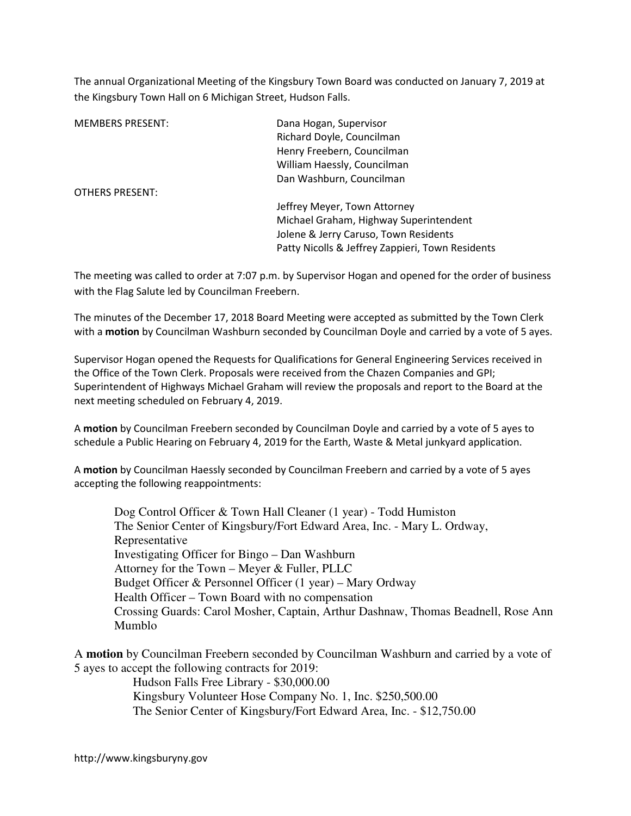The annual Organizational Meeting of the Kingsbury Town Board was conducted on January 7, 2019 at the Kingsbury Town Hall on 6 Michigan Street, Hudson Falls.

| <b>MEMBERS PRESENT:</b> | Dana Hogan, Supervisor                           |
|-------------------------|--------------------------------------------------|
|                         | Richard Doyle, Councilman                        |
|                         | Henry Freebern, Councilman                       |
|                         | William Haessly, Councilman                      |
|                         | Dan Washburn, Councilman                         |
| OTHERS PRESENT:         |                                                  |
|                         | Jeffrey Meyer, Town Attorney                     |
|                         | Michael Graham, Highway Superintendent           |
|                         | Jolene & Jerry Caruso, Town Residents            |
|                         | Patty Nicolls & Jeffrey Zappieri, Town Residents |

The meeting was called to order at 7:07 p.m. by Supervisor Hogan and opened for the order of business with the Flag Salute led by Councilman Freebern.

The minutes of the December 17, 2018 Board Meeting were accepted as submitted by the Town Clerk with a motion by Councilman Washburn seconded by Councilman Doyle and carried by a vote of 5 ayes.

Supervisor Hogan opened the Requests for Qualifications for General Engineering Services received in the Office of the Town Clerk. Proposals were received from the Chazen Companies and GPI; Superintendent of Highways Michael Graham will review the proposals and report to the Board at the next meeting scheduled on February 4, 2019.

A motion by Councilman Freebern seconded by Councilman Doyle and carried by a vote of 5 ayes to schedule a Public Hearing on February 4, 2019 for the Earth, Waste & Metal junkyard application.

A motion by Councilman Haessly seconded by Councilman Freebern and carried by a vote of 5 ayes accepting the following reappointments:

 Dog Control Officer & Town Hall Cleaner (1 year) - Todd Humiston The Senior Center of Kingsbury/Fort Edward Area, Inc. - Mary L. Ordway, Representative Investigating Officer for Bingo – Dan Washburn Attorney for the Town – Meyer & Fuller, PLLC Budget Officer & Personnel Officer (1 year) – Mary Ordway Health Officer – Town Board with no compensation Crossing Guards: Carol Mosher, Captain, Arthur Dashnaw, Thomas Beadnell, Rose Ann Mumblo

A **motion** by Councilman Freebern seconded by Councilman Washburn and carried by a vote of 5 ayes to accept the following contracts for 2019:

> Hudson Falls Free Library - \$30,000.00 Kingsbury Volunteer Hose Company No. 1, Inc. \$250,500.00 The Senior Center of Kingsbury/Fort Edward Area, Inc. - \$12,750.00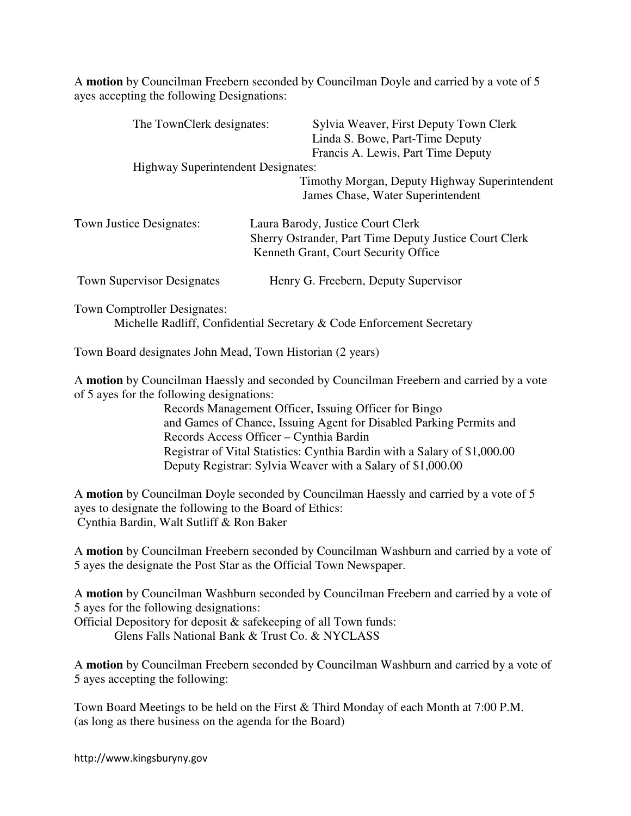A **motion** by Councilman Freebern seconded by Councilman Doyle and carried by a vote of 5 ayes accepting the following Designations:

| The TownClerk designates:                 | Sylvia Weaver, First Deputy Town Clerk<br>Linda S. Bowe, Part-Time Deputy<br>Francis A. Lewis, Part Time Deputy                     |
|-------------------------------------------|-------------------------------------------------------------------------------------------------------------------------------------|
| <b>Highway Superintendent Designates:</b> |                                                                                                                                     |
|                                           | Timothy Morgan, Deputy Highway Superintendent<br>James Chase, Water Superintendent                                                  |
| <b>Town Justice Designates:</b>           | Laura Barody, Justice Court Clerk<br>Sherry Ostrander, Part Time Deputy Justice Court Clerk<br>Kenneth Grant, Court Security Office |
| <b>Town Supervisor Designates</b>         | Henry G. Freebern, Deputy Supervisor                                                                                                |

Town Comptroller Designates:

Michelle Radliff, Confidential Secretary & Code Enforcement Secretary

Town Board designates John Mead, Town Historian (2 years)

A **motion** by Councilman Haessly and seconded by Councilman Freebern and carried by a vote of 5 ayes for the following designations:

 Records Management Officer, Issuing Officer for Bingo and Games of Chance, Issuing Agent for Disabled Parking Permits and Records Access Officer – Cynthia Bardin Registrar of Vital Statistics: Cynthia Bardin with a Salary of \$1,000.00 Deputy Registrar: Sylvia Weaver with a Salary of \$1,000.00

A **motion** by Councilman Doyle seconded by Councilman Haessly and carried by a vote of 5 ayes to designate the following to the Board of Ethics: Cynthia Bardin, Walt Sutliff & Ron Baker

A **motion** by Councilman Freebern seconded by Councilman Washburn and carried by a vote of 5 ayes the designate the Post Star as the Official Town Newspaper.

A **motion** by Councilman Washburn seconded by Councilman Freebern and carried by a vote of 5 ayes for the following designations:

Official Depository for deposit & safekeeping of all Town funds:

Glens Falls National Bank & Trust Co. & NYCLASS

A **motion** by Councilman Freebern seconded by Councilman Washburn and carried by a vote of 5 ayes accepting the following:

Town Board Meetings to be held on the First & Third Monday of each Month at 7:00 P.M. (as long as there business on the agenda for the Board)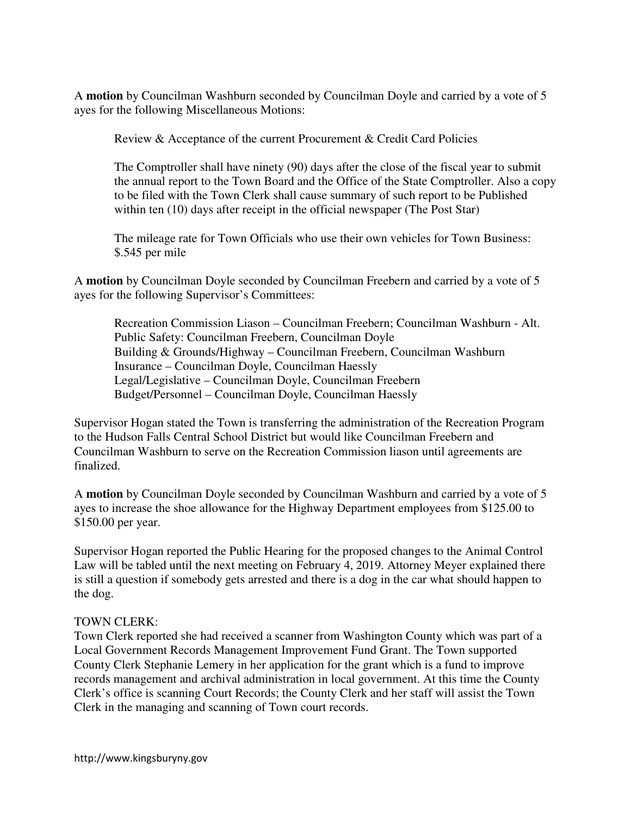A **motion** by Councilman Washburn seconded by Councilman Doyle and carried by a vote of 5 ayes for the following Miscellaneous Motions:

Review & Acceptance of the current Procurement & Credit Card Policies

The Comptroller shall have ninety (90) days after the close of the fiscal year to submit the annual report to the Town Board and the Office of the State Comptroller. Also a copy to be filed with the Town Clerk shall cause summary of such report to be Published within ten (10) days after receipt in the official newspaper (The Post Star)

The mileage rate for Town Officials who use their own vehicles for Town Business: \$.545 per mile

A **motion** by Councilman Doyle seconded by Councilman Freebern and carried by a vote of 5 ayes for the following Supervisor's Committees:

 Recreation Commission Liason – Councilman Freebern; Councilman Washburn - Alt. Public Safety: Councilman Freebern, Councilman Doyle Building & Grounds/Highway – Councilman Freebern, Councilman Washburn Insurance – Councilman Doyle, Councilman Haessly Legal/Legislative – Councilman Doyle, Councilman Freebern Budget/Personnel – Councilman Doyle, Councilman Haessly

Supervisor Hogan stated the Town is transferring the administration of the Recreation Program to the Hudson Falls Central School District but would like Councilman Freebern and Councilman Washburn to serve on the Recreation Commission liason until agreements are finalized.

A **motion** by Councilman Doyle seconded by Councilman Washburn and carried by a vote of 5 ayes to increase the shoe allowance for the Highway Department employees from \$125.00 to \$150.00 per year.

Supervisor Hogan reported the Public Hearing for the proposed changes to the Animal Control Law will be tabled until the next meeting on February 4, 2019. Attorney Meyer explained there is still a question if somebody gets arrested and there is a dog in the car what should happen to the dog.

### TOWN CLERK:

Town Clerk reported she had received a scanner from Washington County which was part of a Local Government Records Management Improvement Fund Grant. The Town supported County Clerk Stephanie Lemery in her application for the grant which is a fund to improve records management and archival administration in local government. At this time the County Clerk's office is scanning Court Records; the County Clerk and her staff will assist the Town Clerk in the managing and scanning of Town court records.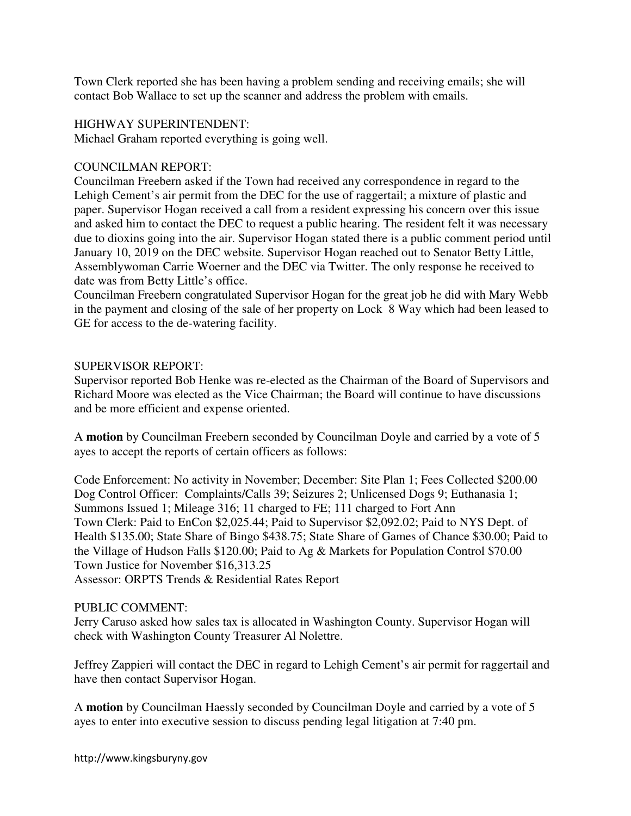Town Clerk reported she has been having a problem sending and receiving emails; she will contact Bob Wallace to set up the scanner and address the problem with emails.

## HIGHWAY SUPERINTENDENT:

Michael Graham reported everything is going well.

## COUNCILMAN REPORT:

Councilman Freebern asked if the Town had received any correspondence in regard to the Lehigh Cement's air permit from the DEC for the use of raggertail; a mixture of plastic and paper. Supervisor Hogan received a call from a resident expressing his concern over this issue and asked him to contact the DEC to request a public hearing. The resident felt it was necessary due to dioxins going into the air. Supervisor Hogan stated there is a public comment period until January 10, 2019 on the DEC website. Supervisor Hogan reached out to Senator Betty Little, Assemblywoman Carrie Woerner and the DEC via Twitter. The only response he received to date was from Betty Little's office.

Councilman Freebern congratulated Supervisor Hogan for the great job he did with Mary Webb in the payment and closing of the sale of her property on Lock 8 Way which had been leased to GE for access to the de-watering facility.

## SUPERVISOR REPORT:

Supervisor reported Bob Henke was re-elected as the Chairman of the Board of Supervisors and Richard Moore was elected as the Vice Chairman; the Board will continue to have discussions and be more efficient and expense oriented.

A **motion** by Councilman Freebern seconded by Councilman Doyle and carried by a vote of 5 ayes to accept the reports of certain officers as follows:

Code Enforcement: No activity in November; December: Site Plan 1; Fees Collected \$200.00 Dog Control Officer: Complaints/Calls 39; Seizures 2; Unlicensed Dogs 9; Euthanasia 1; Summons Issued 1; Mileage 316; 11 charged to FE; 111 charged to Fort Ann Town Clerk: Paid to EnCon \$2,025.44; Paid to Supervisor \$2,092.02; Paid to NYS Dept. of Health \$135.00; State Share of Bingo \$438.75; State Share of Games of Chance \$30.00; Paid to the Village of Hudson Falls \$120.00; Paid to Ag & Markets for Population Control \$70.00 Town Justice for November \$16,313.25 Assessor: ORPTS Trends & Residential Rates Report

# PUBLIC COMMENT:

Jerry Caruso asked how sales tax is allocated in Washington County. Supervisor Hogan will check with Washington County Treasurer Al Nolettre.

Jeffrey Zappieri will contact the DEC in regard to Lehigh Cement's air permit for raggertail and have then contact Supervisor Hogan.

A **motion** by Councilman Haessly seconded by Councilman Doyle and carried by a vote of 5 ayes to enter into executive session to discuss pending legal litigation at 7:40 pm.